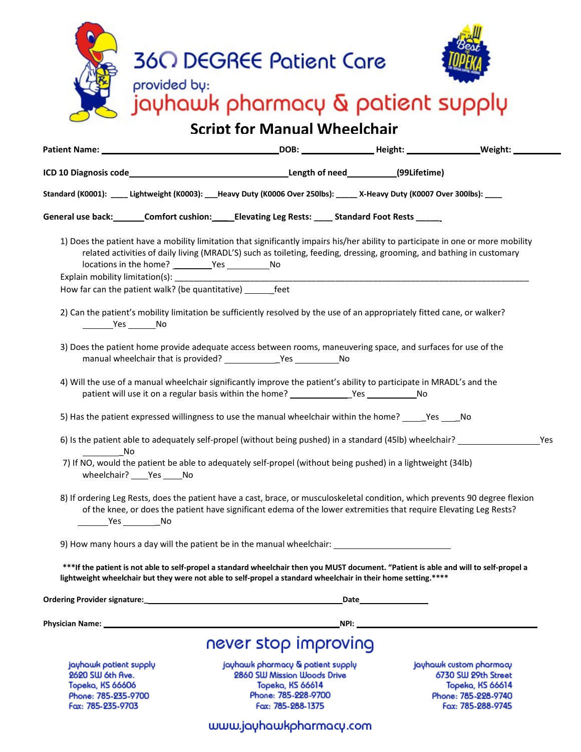| <b>360 DEGREE Patient Care</b><br>provided by:<br>jayhawk pharmacy & patient supply<br><b>Script for Manual Wheelchair</b> |                                                      |                                                                                                                                                                                                                                                                                                                                                                                                                                                                                |  |                                                                                                                                                                                                                                                           |     |
|----------------------------------------------------------------------------------------------------------------------------|------------------------------------------------------|--------------------------------------------------------------------------------------------------------------------------------------------------------------------------------------------------------------------------------------------------------------------------------------------------------------------------------------------------------------------------------------------------------------------------------------------------------------------------------|--|-----------------------------------------------------------------------------------------------------------------------------------------------------------------------------------------------------------------------------------------------------------|-----|
|                                                                                                                            |                                                      |                                                                                                                                                                                                                                                                                                                                                                                                                                                                                |  |                                                                                                                                                                                                                                                           |     |
|                                                                                                                            |                                                      |                                                                                                                                                                                                                                                                                                                                                                                                                                                                                |  |                                                                                                                                                                                                                                                           |     |
|                                                                                                                            |                                                      | Standard (K0001): ____ Lightweight (K0003): ___Heavy Duty (K0006 Over 250lbs): _____ X-Heavy Duty (K0007 Over 300lbs): ____                                                                                                                                                                                                                                                                                                                                                    |  |                                                                                                                                                                                                                                                           |     |
|                                                                                                                            |                                                      | General use back:_______Comfort cushion:______Elevating Leg Rests: ______Standard Foot Rests ______                                                                                                                                                                                                                                                                                                                                                                            |  |                                                                                                                                                                                                                                                           |     |
|                                                                                                                            | How far can the patient walk? (be quantitative) feet | 2) Can the patient's mobility limitation be sufficiently resolved by the use of an appropriately fitted cane, or walker?<br>3) Does the patient home provide adequate access between rooms, maneuvering space, and surfaces for use of the<br>4) Will the use of a manual wheelchair significantly improve the patient's ability to participate in MRADL's and the<br>5) Has the patient expressed willingness to use the manual wheelchair within the home? ______Yes _____No |  | 1) Does the patient have a mobility limitation that significantly impairs his/her ability to participate in one or more mobility<br>related activities of daily living (MRADL'S) such as toileting, feeding, dressing, grooming, and bathing in customary |     |
|                                                                                                                            |                                                      | 6) Is the patient able to adequately self-propel (without being pushed) in a standard (45lb) wheelchair?                                                                                                                                                                                                                                                                                                                                                                       |  |                                                                                                                                                                                                                                                           | Yes |
| in its No<br>__________________________No                                                                                  | wheelchair? Yes No                                   | 7) If NO, would the patient be able to adequately self-propel (without being pushed) in a lightweight (34lb)                                                                                                                                                                                                                                                                                                                                                                   |  | 8) If ordering Leg Rests, does the patient have a cast, brace, or musculoskeletal condition, which prevents 90 degree flexion<br>of the knee, or does the patient have significant edema of the lower extremities that require Elevating Leg Rests?       |     |
|                                                                                                                            |                                                      |                                                                                                                                                                                                                                                                                                                                                                                                                                                                                |  |                                                                                                                                                                                                                                                           |     |
|                                                                                                                            |                                                      | lightweight wheelchair but they were not able to self-propel a standard wheelchair in their home setting.****                                                                                                                                                                                                                                                                                                                                                                  |  | ***If the patient is not able to self-propel a standard wheelchair then you MUST document. "Patient is able and will to self-propel a                                                                                                                     |     |
|                                                                                                                            |                                                      |                                                                                                                                                                                                                                                                                                                                                                                                                                                                                |  |                                                                                                                                                                                                                                                           |     |
|                                                                                                                            |                                                      |                                                                                                                                                                                                                                                                                                                                                                                                                                                                                |  |                                                                                                                                                                                                                                                           |     |
|                                                                                                                            |                                                      | never stop improving                                                                                                                                                                                                                                                                                                                                                                                                                                                           |  |                                                                                                                                                                                                                                                           |     |
| jayhawk patient supply<br>2620 SW 6th Ave.<br>Topeka, KS 66606<br>Phone: 785-235-9700<br>Fax: 785-235-9703                 |                                                      | jayhawk pharmacy & patient supply<br>2860 SW Mission Woods Drive<br><b>Topeka, KS 66614</b><br>Phone: 785-228-9700<br>Fax: 785-288-1375                                                                                                                                                                                                                                                                                                                                        |  | jayhawk custom pharmacy<br>6730 SW 29th Street<br>Topeka, KS 66614<br>Phone: 785-228-9740<br>Fax: 785-288-9745                                                                                                                                            |     |

## www.jayhawkpharmacy.com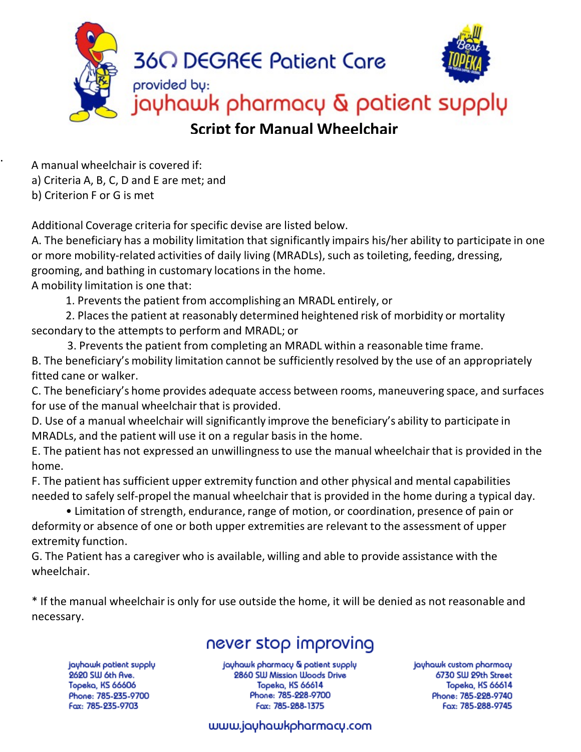

. <sup>A</sup> manual wheelchair is covered if: a) Criteria A, B, C, D and E are met; and b) Criterion F or G is met

Additional Coverage criteria for specific devise are listed below.

A. The beneficiary has a mobility limitation that significantly impairs his/her ability to participate in one or more mobility-related activities of daily living (MRADLs), such as toileting, feeding, dressing, grooming, and bathing in customary locations in the home.

A mobility limitation is one that:

1. Prevents the patient from accomplishing an MRADL entirely, or

2. Places the patient at reasonably determined heightened risk of morbidity or mortality secondary to the attempts to perform and MRADL; or

3. Prevents the patient from completing an MRADL within a reasonable time frame. B. The beneficiary's mobility limitation cannot be sufficiently resolved by the use of an appropriately fitted cane or walker.

C. The beneficiary's home provides adequate access between rooms, maneuvering space, and surfaces for use of the manual wheelchair that is provided.

D. Use of a manual wheelchair will significantly improve the beneficiary's ability to participate in MRADLs, and the patient will use it on a regular basis in the home.

E. The patient has not expressed an unwillingnessto use the manual wheelchair that is provided in the home.

F. The patient has sufficient upper extremity function and other physical and mental capabilities needed to safely self-propel the manual wheelchair that is provided in the home during a typical day.

• Limitation of strength, endurance, range of motion, or coordination, presence of pain or deformity or absence of one or both upper extremities are relevant to the assessment of upper extremity function.

G. The Patient has a caregiver who is available, willing and able to provide assistance with the wheelchair.

\* If the manual wheelchair is only for use outside the home, it will be denied as not reasonable and necessary.

## never stop improving

jayhawk patient supply 2620 SW 6th Ave. Topeka, KS 66606 Phone: 785-235-9700 Fax: 785-235-9703

jayhawk pharmacy & patient supply 2860 SW Mission Woods Drive **Topeka, KS 66614** Phone: 785-228-9700 Fax: 785-288-1375

jayhawk custom pharmacy 6730 SW 29th Street Topeka, KS 66614 Phone: 785-228-9740 Fax: 785-288-9745

## www.jayhawkpharmacy.com